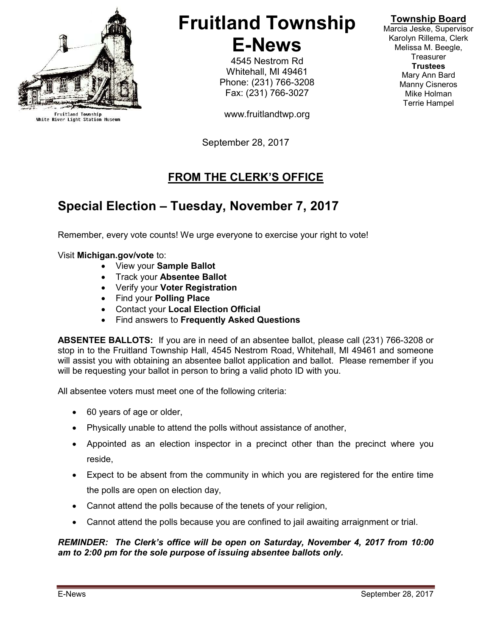

Fruitland Township<br>White River Light Station Museum

# Fruitland Township E-News

4545 Nestrom Rd Whitehall, MI 49461 Phone: (231) 766-3208 Fax: (231) 766-3027

www.fruitlandtwp.org

September 28, 2017

## FROM THE CLERK'S OFFICE

# Special Election – Tuesday, November 7, 2017

Remember, every vote counts! We urge everyone to exercise your right to vote!

#### Visit Michigan.gov/vote to:

- View your Sample Ballot
- Track your Absentee Ballot
- Verify your Voter Registration
- Find your Polling Place
- Contact your Local Election Official
- Find answers to Frequently Asked Questions

ABSENTEE BALLOTS: If you are in need of an absentee ballot, please call (231) 766-3208 or stop in to the Fruitland Township Hall, 4545 Nestrom Road, Whitehall, MI 49461 and someone will assist you with obtaining an absentee ballot application and ballot. Please remember if you will be requesting your ballot in person to bring a valid photo ID with you.

All absentee voters must meet one of the following criteria:

- 60 years of age or older,
- Physically unable to attend the polls without assistance of another,
- Appointed as an election inspector in a precinct other than the precinct where you reside,
- Expect to be absent from the community in which you are registered for the entire time the polls are open on election day,
- Cannot attend the polls because of the tenets of your religion,
- Cannot attend the polls because you are confined to jail awaiting arraignment or trial.

#### REMINDER: The Clerk's office will be open on Saturday, November 4, 2017 from 10:00 am to 2:00 pm for the sole purpose of issuing absentee ballots only.

#### Township Board

Marcia Jeske, Supervisor Karolyn Rillema, Clerk Melissa M. Beegle, **Treasurer Trustees** Mary Ann Bard Manny Cisneros Mike Holman Terrie Hampel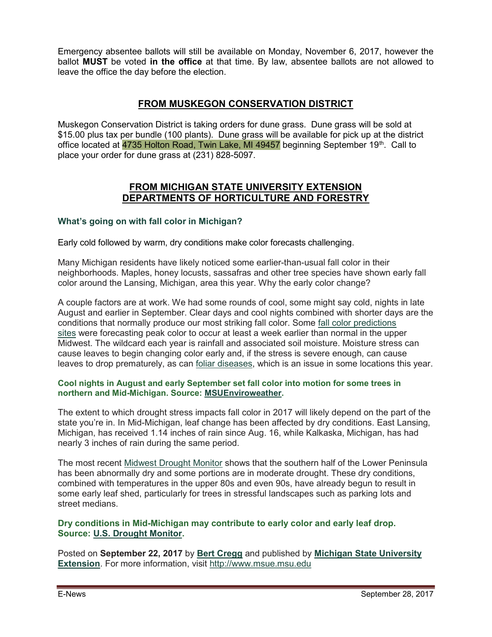Emergency absentee ballots will still be available on Monday, November 6, 2017, however the ballot MUST be voted in the office at that time. By law, absentee ballots are not allowed to leave the office the day before the election.

#### FROM MUSKEGON CONSERVATION DISTRICT

Muskegon Conservation District is taking orders for dune grass. Dune grass will be sold at \$15.00 plus tax per bundle (100 plants). Dune grass will be available for pick up at the district office located at 4735 Holton Road, Twin Lake, MI 49457 beginning September 19<sup>th</sup>. Call to place your order for dune grass at (231) 828-5097.

#### FROM MICHIGAN STATE UNIVERSITY EXTENSION DEPARTMENTS OF HORTICULTURE AND FORESTRY

#### What's going on with fall color in Michigan?

Early cold followed by warm, dry conditions make color forecasts challenging.

Many Michigan residents have likely noticed some earlier-than-usual fall color in their neighborhoods. Maples, honey locusts, sassafras and other tree species have shown early fall color around the Lansing, Michigan, area this year. Why the early color change?

A couple factors are at work. We had some rounds of cool, some might say cold, nights in late August and earlier in September. Clear days and cool nights combined with shorter days are the conditions that normally produce our most striking fall color. Some fall color predictions sites were forecasting peak color to occur at least a week earlier than normal in the upper Midwest. The wildcard each year is rainfall and associated soil moisture. Moisture stress can cause leaves to begin changing color early and, if the stress is severe enough, can cause leaves to drop prematurely, as can foliar diseases, which is an issue in some locations this year.

#### Cool nights in August and early September set fall color into motion for some trees in northern and Mid-Michigan. Source: MSUEnviroweather.

The extent to which drought stress impacts fall color in 2017 will likely depend on the part of the state you're in. In Mid-Michigan, leaf change has been affected by dry conditions. East Lansing, Michigan, has received 1.14 inches of rain since Aug. 16, while Kalkaska, Michigan, has had nearly 3 inches of rain during the same period.

The most recent Midwest Drought Monitor shows that the southern half of the Lower Peninsula has been abnormally dry and some portions are in moderate drought. These dry conditions, combined with temperatures in the upper 80s and even 90s, have already begun to result in some early leaf shed, particularly for trees in stressful landscapes such as parking lots and street medians.

#### Dry conditions in Mid-Michigan may contribute to early color and early leaf drop. Source: U.S. Drought Monitor.

Posted on September 22, 2017 by Bert Cregg and published by Michigan State University Extension. For more information, visit http://www.msue.msu.edu